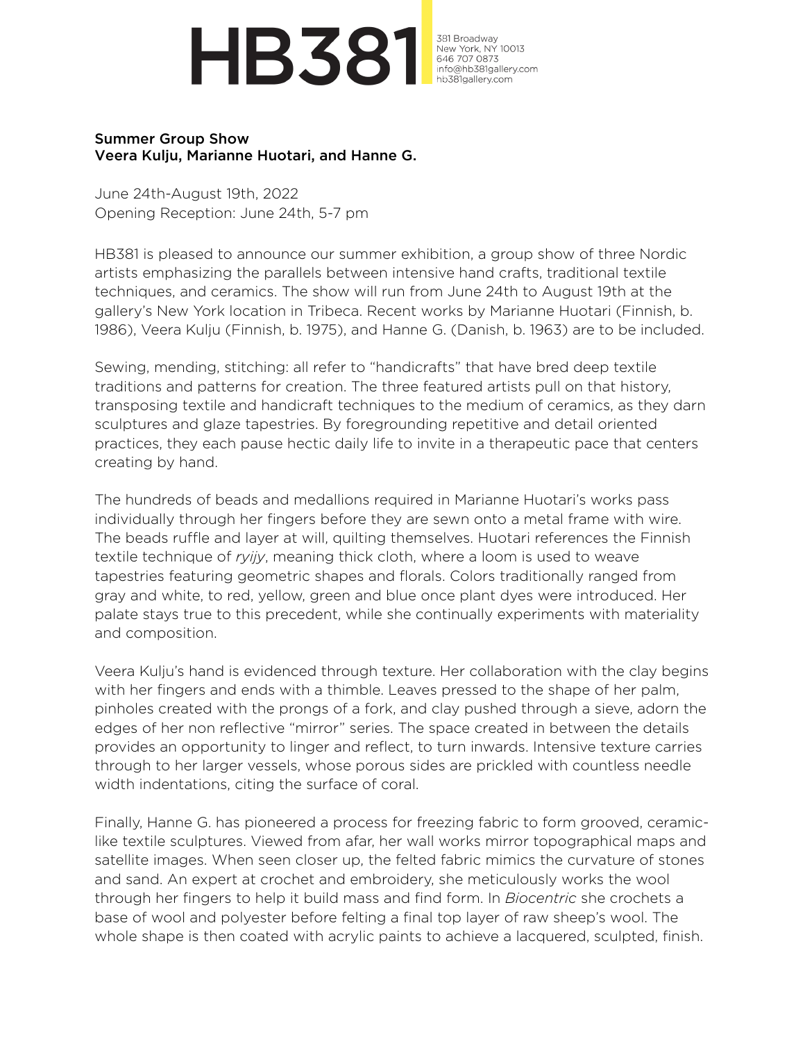## **HB381**

381 Broadway New York, NY 10013<br>646 707 0873 info@hb381gallery.com hb381gallery.com

## Summer Group Show Veera Kulju, Marianne Huotari, and Hanne G.

June 24th-August 19th, 2022 Opening Reception: June 24th, 5-7 pm

HB381 is pleased to announce our summer exhibition, a group show of three Nordic artists emphasizing the parallels between intensive hand crafts, traditional textile techniques, and ceramics. The show will run from June 24th to August 19th at the gallery's New York location in Tribeca. Recent works by Marianne Huotari (Finnish, b. 1986), Veera Kulju (Finnish, b. 1975), and Hanne G. (Danish, b. 1963) are to be included.

Sewing, mending, stitching: all refer to "handicrafts" that have bred deep textile traditions and patterns for creation. The three featured artists pull on that history, transposing textile and handicraft techniques to the medium of ceramics, as they darn sculptures and glaze tapestries. By foregrounding repetitive and detail oriented practices, they each pause hectic daily life to invite in a therapeutic pace that centers creating by hand.

The hundreds of beads and medallions required in Marianne Huotari's works pass individually through her fingers before they are sewn onto a metal frame with wire. The beads ruffle and layer at will, quilting themselves. Huotari references the Finnish textile technique of *ryijy*, meaning thick cloth, where a loom is used to weave tapestries featuring geometric shapes and florals. Colors traditionally ranged from gray and white, to red, yellow, green and blue once plant dyes were introduced. Her palate stays true to this precedent, while she continually experiments with materiality and composition.

Veera Kulju's hand is evidenced through texture. Her collaboration with the clay begins with her fingers and ends with a thimble. Leaves pressed to the shape of her palm, pinholes created with the prongs of a fork, and clay pushed through a sieve, adorn the edges of her non reflective "mirror" series. The space created in between the details provides an opportunity to linger and reflect, to turn inwards. Intensive texture carries through to her larger vessels, whose porous sides are prickled with countless needle width indentations, citing the surface of coral.

Finally, Hanne G. has pioneered a process for freezing fabric to form grooved, ceramiclike textile sculptures. Viewed from afar, her wall works mirror topographical maps and satellite images. When seen closer up, the felted fabric mimics the curvature of stones and sand. An expert at crochet and embroidery, she meticulously works the wool through her fingers to help it build mass and find form. In *Biocentric* she crochets a base of wool and polyester before felting a final top layer of raw sheep's wool. The whole shape is then coated with acrylic paints to achieve a lacquered, sculpted, finish.